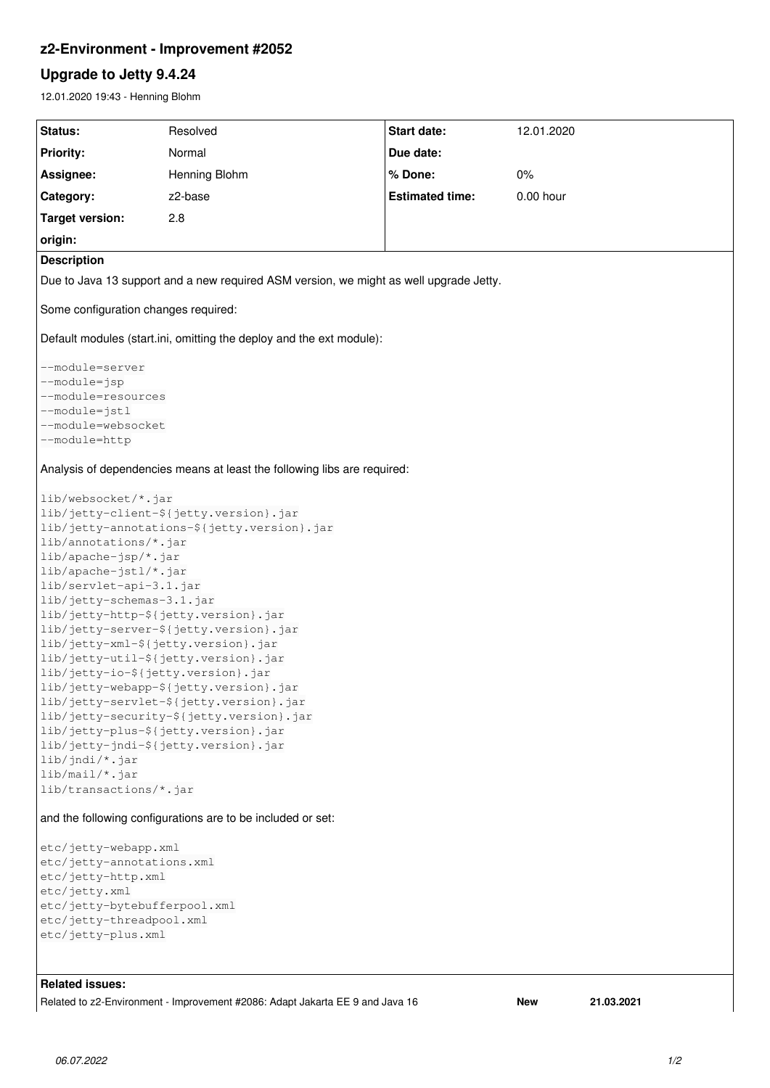# **z2-Environment - Improvement #2052**

# **Upgrade to Jetty 9.4.24**

12.01.2020 19:43 - Henning Blohm

| Status:                                                                                | Resolved      | <b>Start date:</b>     | 12.01.2020 |
|----------------------------------------------------------------------------------------|---------------|------------------------|------------|
| <b>Priority:</b>                                                                       | Normal        | Due date:              |            |
| Assignee:                                                                              | Henning Blohm | % Done:                | 0%         |
| Category:                                                                              | z2-base       | <b>Estimated time:</b> | 0.00 hour  |
| <b>Target version:</b>                                                                 | 2.8           |                        |            |
| origin:                                                                                |               |                        |            |
| <b>Description</b>                                                                     |               |                        |            |
| Due to Java 13 support and a new required ASM version, we might as well upgrade Jetty. |               |                        |            |
| Some configuration changes required:                                                   |               |                        |            |
| Default modules (start.ini, omitting the deploy and the ext module):                   |               |                        |            |
| --module=server                                                                        |               |                        |            |
| --module=jsp                                                                           |               |                        |            |
| --module=resources                                                                     |               |                        |            |
| --module=jstl                                                                          |               |                        |            |
| --module=websocket<br>--module=http                                                    |               |                        |            |
| Analysis of dependencies means at least the following libs are required:               |               |                        |            |
|                                                                                        |               |                        |            |
| lib/websocket/*.jar                                                                    |               |                        |            |
| lib/jetty-client-\${jetty.version}.jar                                                 |               |                        |            |
| lib/jetty-annotations-\${jetty.version}.jar<br>lib/annotations/*.jar                   |               |                        |            |
| lib/apache-jsp/*.jar                                                                   |               |                        |            |
| lib/apache-jstl/*.jar                                                                  |               |                        |            |
| lib/servlet-api-3.1.jar                                                                |               |                        |            |
| lib/jetty-schemas-3.1.jar                                                              |               |                        |            |
| lib/jetty-http-\${jetty.version}.jar                                                   |               |                        |            |
| lib/jetty-server-\${jetty.version}.jar                                                 |               |                        |            |
| lib/jetty-xml-\${jetty.version}.jar                                                    |               |                        |            |
| lib/jetty-util-\${jetty.version}.jar<br>lib/jetty-io-\${jetty.version}.jar             |               |                        |            |
| lib/jetty-webapp-\${jetty.version}.jar                                                 |               |                        |            |
| lib/jetty-servlet-\${jetty.version}.jar                                                |               |                        |            |
| lib/jetty-security-\${jetty.version}.jar                                               |               |                        |            |
| lib/jetty-plus-\${jetty.version}.jar                                                   |               |                        |            |
| lib/jetty-jndi-\${jetty.version}.jar                                                   |               |                        |            |
| $lib/jndi/*.jar$<br>$lib/mail/*.jar$                                                   |               |                        |            |
| lib/transactions/*.jar                                                                 |               |                        |            |
| and the following configurations are to be included or set:                            |               |                        |            |
| etc/jetty-webapp.xml                                                                   |               |                        |            |
| etc/jetty-annotations.xml                                                              |               |                        |            |
| etc/jetty-http.xml                                                                     |               |                        |            |
| etc/jetty.xml                                                                          |               |                        |            |
| etc/jetty-bytebufferpool.xml                                                           |               |                        |            |
| etc/jetty-threadpool.xml<br>etc/jetty-plus.xml                                         |               |                        |            |
|                                                                                        |               |                        |            |
|                                                                                        |               |                        |            |

# **Related issues:**

Related to z2-Environment - Improvement #2086: Adapt Jakarta EE 9 and Java 16 **New 21.03.2021**